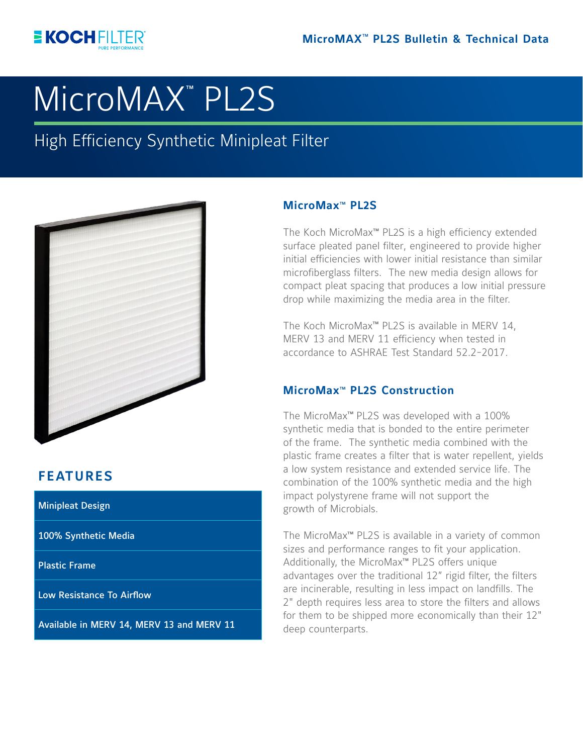

# **MicroMAX<sup>™</sup> PL2S**

High Efficiency Synthetic Minipleat Filter



# **FEATURES**

Minipleat Design

100% Synthetic Media

Plastic Frame

Low Resistance To Airflow

Available in MERV 14, MERV 13 and MERV 11

# MicroMax<sup>™</sup> PL2S

The Koch MicroMax**TM** PL2S is a high efficiency extended surface pleated panel filter, engineered to provide higher initial efficiencies with lower initial resistance than similar microfiberglass filters. The new media design allows for compact pleat spacing that produces a low initial pressure drop while maximizing the media area in the filter.

The Koch MicroMax<sup>™</sup> PL2S is available in MERV 14, MERV 13 and MERV 11 efficiency when tested in accordance to ASHRAE Test Standard 52.2-2017.

# **MicroMax<sup>™</sup> PL2S Construction**

The MicroMax**TM** PL2S was developed with a 100% synthetic media that is bonded to the entire perimeter of the frame. The synthetic media combined with the plastic frame creates a filter that is water repellent, yields a low system resistance and extended service life. The combination of the 100% synthetic media and the high impact polystyrene frame will not support the growth of Microbials.

The MicroMax<sup>™</sup> PL2S is available in a variety of common sizes and performance ranges to fit your application. Additionally, the MicroMax<sup>™</sup> PL2S offers unique advantages over the traditional 12" rigid filter, the filters are incinerable, resulting in less impact on landfills. The 2" depth requires less area to store the filters and allows for them to be shipped more economically than their 12" deep counterparts.